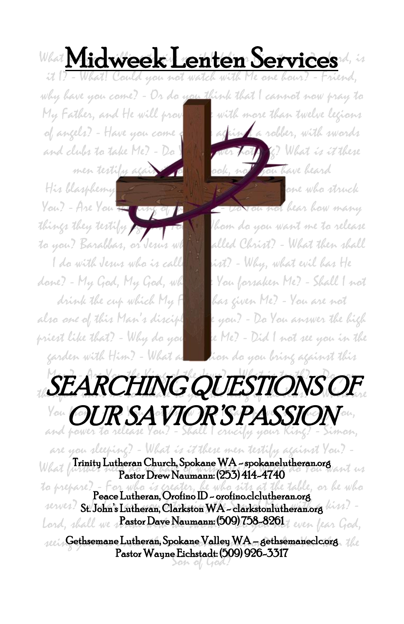What Midweek Lenten Services

. .

it I? - What! Could you not watch with Me one hour? - Friend, why have you come? - Or do you think that I cannot now pray to My Father, and He will provide a with more than twelve legions

of angels? - Have you come  $\frac{1}{2}$ , against a robber, with swords and clubs to take Me? - Da  $\sqrt{N}$  and  $\sqrt{N}$  (?) What is it these men testify again you sale, not you have beard  $H$ is blasphemy  $H_2$   $\longrightarrow$   $\blacksquare$  . One who struck You? - Are You the way of the Jews on not hear how many things they testify  $\overline{K}$  ,  $\overline{V}$  ,  $\overline{V}$  I hom do you want me to release to you? Barabbas, or Jesus what is alled Christ? - What then shall I do with Jesus who is called  $\mathbb{R}$  ist? - Why, what evil has He done? - My God, My God, why have You forsaken Me? - Shall I not drink the cup which My Father has given Me? - You are not also *one of this Man's disciples a*re you? - Do You answer the high priest like that? - Why do you strike Me? - Did I not see you in the garden with Him? - What accuration do you bring against this



are you sleeping? - What is it these men testify against You? - What Trinity Lutheran Church, Spokane WA - spokanelutheran.org  $\overline{a}$ Pastor Drew Naumann: (253) 414-4740

to prepare? - For who *is ereater*, he who sits at the table, or he who serves? St. John's Lutheran, Clarkston WA - clarkstonlutheran.org  $\lim_{n \to \infty}$ lord, shall we s**PastorDaveNaumann: (509) 758-8261** even fear God,

 $\epsilon$ eein Gethsemane Lutheran, Spokane Valley WA – gethsemaneclc.org the Son of God? Pastor Wayne Eichstadt: (509) 926-3317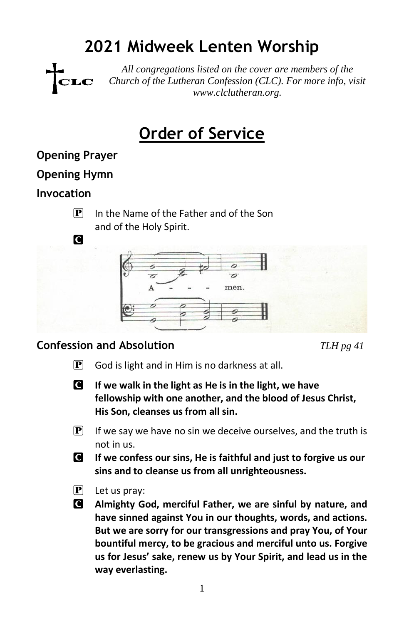# **2021 Midweek Lenten Worship**



*All congregations listed on the cover are members of the Church of the Lutheran Confession (CLC). For more info, visit www.clclutheran.org.*

# **Order of Service**

#### **Opening Prayer**

#### **Opening Hymn**

**C** 

#### **Invocation**

 $[P]$  In the Name of the Father and of the Son and of the Holy Spirit.



#### **Confession and Absolution** *TLH pg 41*

- $\left| \mathbf{P} \right|$  God is light and in Him is no darkness at all.
- C **If we walk in the light as He is in the light, we have fellowship with one another, and the blood of Jesus Christ, His Son, cleanses us from all sin.**
- $\left| \mathbf{P} \right|$  If we say we have no sin we deceive ourselves, and the truth is not in us.
- C **If we confess our sins, He is faithful and just to forgive us our sins and to cleanse us from all unrighteousness.**
- $\boxed{\mathbf{P}}$  Let us pray:
- C **Almighty God, merciful Father, we are sinful by nature, and have sinned against You in our thoughts, words, and actions. But we are sorry for our transgressions and pray You, of Your bountiful mercy, to be gracious and merciful unto us. Forgive us for Jesus' sake, renew us by Your Spirit, and lead us in the way everlasting.**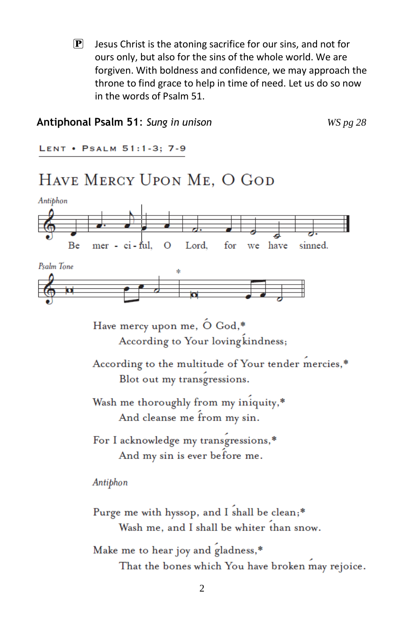$\mathbf{P}$  Jesus Christ is the atoning sacrifice for our sins, and not for ours only, but also for the sins of the whole world. We are forgiven. With boldness and confidence, we may approach the throne to find grace to help in time of need. Let us do so now in the words of Psalm 51.

#### **Antiphonal Psalm 51**: *Sung in unison WS pg 28*

LENT . PSALM 51:1-3; 7-9

## HAVE MERCY UPON ME, O GOD



Have mercy upon me, O God,\* According to Your loving kindness;

According to the multitude of Your tender mercies,\* Blot out my transgressions.

Wash me thoroughly from my iniquity,\* And cleanse me from my sin.

For I acknowledge my transgressions,\* And my sin is ever before me.

Antiphon

Purge me with hyssop, and I shall be clean;\* Wash me, and I shall be whiter than snow.

Make me to hear joy and gladness,\*

That the bones which You have broken may rejoice.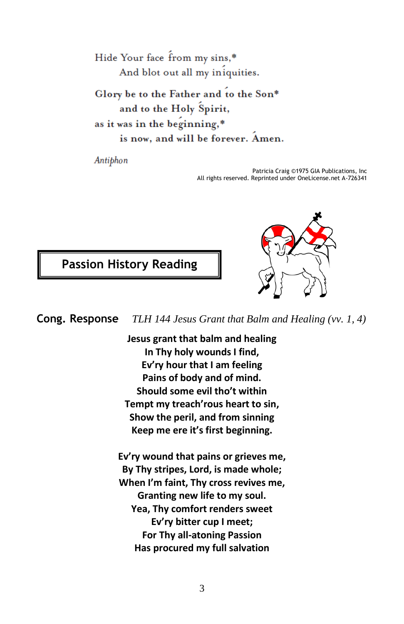Hide Your face from my sins,\* And blot out all my iniquities.

Glory be to the Father and to the Son\* and to the Holy Spirit, as it was in the beginning,\* is now, and will be forever. Amen.

Antiphon

Patricia Craig ©1975 GIA Publications, Inc All rights reserved. Reprinted under OneLicense.net A-726341

**Passion History Reading**



**Cong. Response** *TLH 144 Jesus Grant that Balm and Healing (vv. 1, 4)*

**Jesus grant that balm and healing In Thy holy wounds I find, Ev'ry hour that I am feeling Pains of body and of mind. Should some evil tho't within Tempt my treach'rous heart to sin, Show the peril, and from sinning Keep me ere it's first beginning.**

**Ev'ry wound that pains or grieves me, By Thy stripes, Lord, is made whole; When I'm faint, Thy cross revives me, Granting new life to my soul. Yea, Thy comfort renders sweet Ev'ry bitter cup I meet; For Thy all-atoning Passion Has procured my full salvation**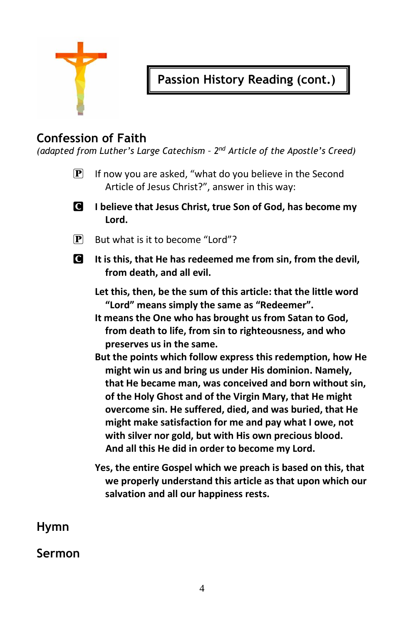

# **Passion History Reading (cont.)**

## **Confession of Faith**

*(adapted from Luther's Large Catechism – 2 nd Article of the Apostle's Creed)*

- $\mathbf{P}$  If now you are asked, "what do you believe in the Second Article of Jesus Christ?", answer in this way:
- C **I believe that Jesus Christ, true Son of God, has become my Lord.**
- $\mathbf{P}$  But what is it to become "Lord"?
- C **It is this, that He has redeemed me from sin, from the devil, from death, and all evil.**

**Let this, then, be the sum of this article: that the little word "Lord" means simply the same as "Redeemer".** 

**It means the One who has brought us from Satan to God, from death to life, from sin to righteousness, and who preserves us in the same.** 

- **But the points which follow express this redemption, how He might win us and bring us under His dominion. Namely, that He became man, was conceived and born without sin, of the Holy Ghost and of the Virgin Mary, that He might overcome sin. He suffered, died, and was buried, that He might make satisfaction for me and pay what I owe, not with silver nor gold, but with His own precious blood. And all this He did in order to become my Lord.**
- **Yes, the entire Gospel which we preach is based on this, that we properly understand this article as that upon which our salvation and all our happiness rests.**

**Hymn**

#### **Sermon**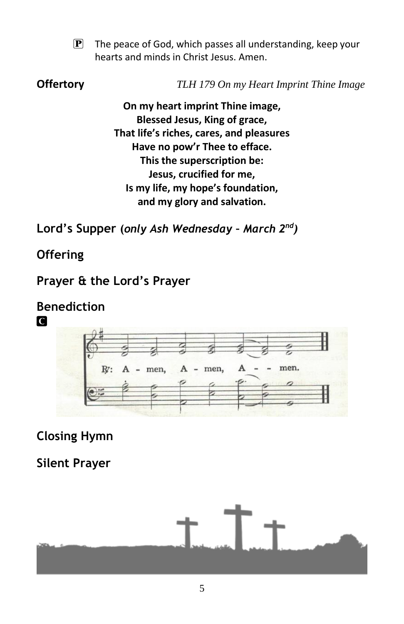$\mathbf{P}$  The peace of God, which passes all understanding, keep your hearts and minds in Christ Jesus. Amen.

**Offertory** *TLH 179 On my Heart Imprint Thine Image*

**On my heart imprint Thine image, Blessed Jesus, King of grace, That life's riches, cares, and pleasures Have no pow'r Thee to efface. This the superscription be: Jesus, crucified for me, Is my life, my hope's foundation, and my glory and salvation.**

**Lord's Supper (***only Ash Wednesday – March 2 nd)*

# **Offering**

**C** 

## **Prayer & the Lord's Prayer**

# **Benediction**



# **Closing Hymn**

## **Silent Prayer**

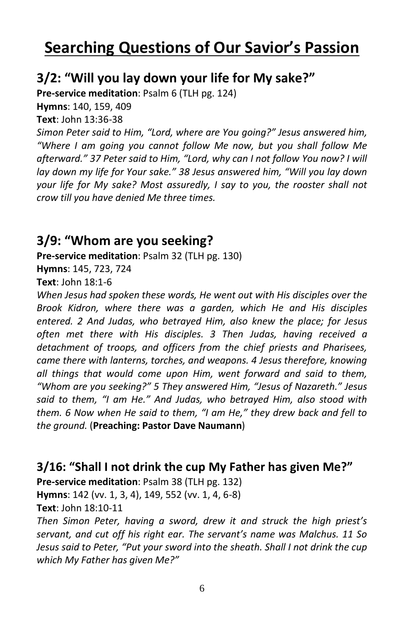# **Searching Questions of Our Savior's Passion**

## **3/2: "Will you lay down your life for My sake?"**

**Pre-service meditation**: Psalm 6 (TLH pg. 124)

**Hymns**: 140, 159, 409

**Text**: John 13:36-38

*Simon Peter said to Him, "Lord, where are You going?" Jesus answered him, "Where I am going you cannot follow Me now, but you shall follow Me afterward." 37 Peter said to Him, "Lord, why can I not follow You now? I will lay down my life for Your sake." 38 Jesus answered him, "Will you lay down your life for My sake? Most assuredly, I say to you, the rooster shall not crow till you have denied Me three times.*

#### **3/9: "Whom are you seeking?**

**Pre-service meditation**: Psalm 32 (TLH pg. 130)

**Hymns**: 145, 723, 724

**Text**: John 18:1-6

*When Jesus had spoken these words, He went out with His disciples over the Brook Kidron, where there was a garden, which He and His disciples entered. 2 And Judas, who betrayed Him, also knew the place; for Jesus often met there with His disciples. 3 Then Judas, having received a detachment of troops, and officers from the chief priests and Pharisees, came there with lanterns, torches, and weapons. 4 Jesus therefore, knowing all things that would come upon Him, went forward and said to them, "Whom are you seeking?" 5 They answered Him, "Jesus of Nazareth." Jesus said to them, "I am He." And Judas, who betrayed Him, also stood with them. 6 Now when He said to them, "I am He," they drew back and fell to the ground.* (**Preaching: Pastor Dave Naumann**)

#### **3/16: "Shall I not drink the cup My Father has given Me?"**

**Pre-service meditation**: Psalm 38 (TLH pg. 132) **Hymns**: 142 (vv. 1, 3, 4), 149, 552 (vv. 1, 4, 6-8)

**Text**: John 18:10-11

*Then Simon Peter, having a sword, drew it and struck the high priest's servant, and cut off his right ear. The servant's name was Malchus. 11 So Jesus said to Peter, "Put your sword into the sheath. Shall I not drink the cup which My Father has given Me?"*